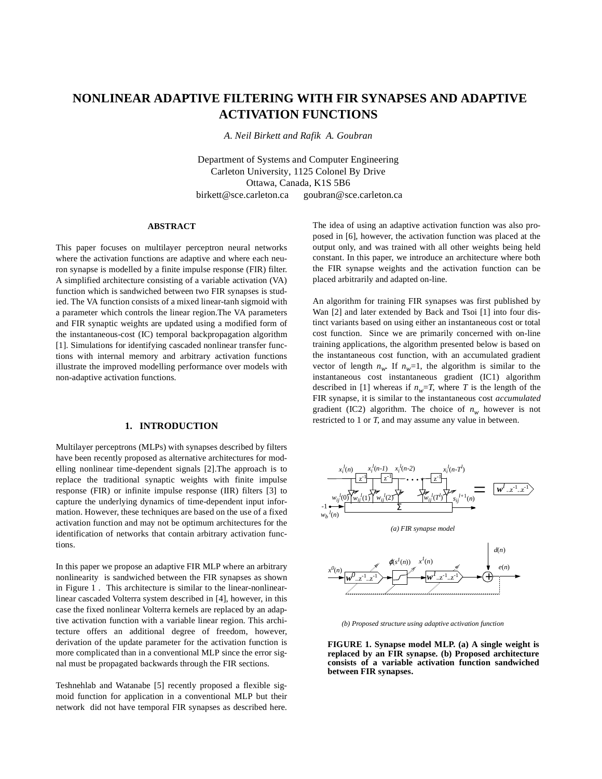# **NONLINEAR ADAPTIVE FILTERING WITH FIR SYNAPSES AND ADAPTIVE ACTIVATION FUNCTIONS**

*A. Neil Birkett and Rafik A. Goubran*

Department of Systems and Computer Engineering Carleton University, 1125 Colonel By Drive Ottawa, Canada, K1S 5B6 birkett@sce.carleton.ca goubran@sce.carleton.ca

#### **ABSTRACT**

This paper focuses on multilayer perceptron neural networks where the activation functions are adaptive and where each neuron synapse is modelled by a finite impulse response (FIR) filter. A simplified architecture consisting of a variable activation (VA) function which is sandwiched between two FIR synapses is studied. The VA function consists of a mixed linear-tanh sigmoid with a parameter which controls the linear region.The VA parameters and FIR synaptic weights are updated using a modified form of the instantaneous-cost (IC) temporal backpropagation algorithm [1]. Simulations for identifying cascaded nonlinear transfer functions with internal memory and arbitrary activation functions illustrate the improved modelling performance over models with non-adaptive activation functions.

### **1. INTRODUCTION**

Multilayer perceptrons (MLPs) with synapses described by filters have been recently proposed as alternative architectures for modelling nonlinear time-dependent signals [2].The approach is to replace the traditional synaptic weights with finite impulse response (FIR) or infinite impulse response (IIR) filters [3] to capture the underlying dynamics of time-dependent input information. However, these techniques are based on the use of a fixed activation function and may not be optimum architectures for the identification of networks that contain arbitrary activation functions.

In this paper we propose an adaptive FIR MLP where an arbitrary nonlinearity is sandwiched between the FIR synapses as shown in Figure 1 . This architecture is similar to the linear-nonlinearlinear cascaded Volterra system described in [4], however, in this case the fixed nonlinear Volterra kernels are replaced by an adaptive activation function with a variable linear region. This architecture offers an additional degree of freedom, however, derivation of the update parameter for the activation function is more complicated than in a conventional MLP since the error signal must be propagated backwards through the FIR sections.

Teshnehlab and Watanabe [5] recently proposed a flexible sigmoid function for application in a conventional MLP but their network did not have temporal FIR synapses as described here.

The idea of using an adaptive activation function was also proposed in [6], however, the activation function was placed at the output only, and was trained with all other weights being held constant. In this paper, we introduce an architecture where both the FIR synapse weights and the activation function can be placed arbitrarily and adapted on-line.

An algorithm for training FIR synapses was first published by Wan [2] and later extended by Back and Tsoi [1] into four distinct variants based on using either an instantaneous cost or total cost function. Since we are primarily concerned with on-line training applications, the algorithm presented below is based on the instantaneous cost function, with an accumulated gradient vector of length  $n_w$ . If  $n_w=1$ , the algorithm is similar to the instantaneous cost instantaneous gradient (IC1) algorithm described in [1] whereas if  $n_w = T$ , where *T* is the length of the FIR synapse, it is similar to the instantaneous cost *accumulated* gradient (IC2) algorithm. The choice of  $n_w$  however is not restricted to 1 or *T*, and may assume any value in between.



*(b) Proposed structure using adaptive activation function*

**FIGURE 1. Synapse model MLP. (a) A single weight is replaced by an FIR synapse. (b) Proposed architecture consists of a variable activation function sandwiched between FIR synapses.**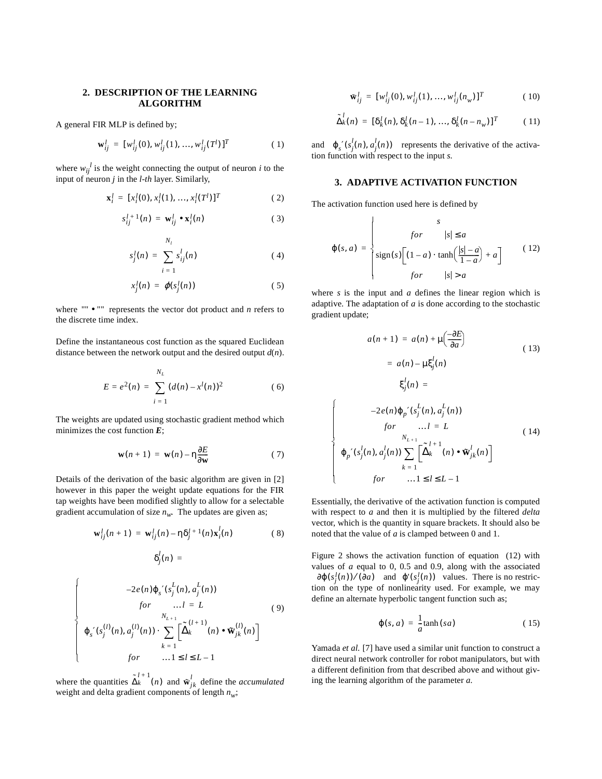## **2. DESCRIPTION OF THE LEARNING ALGORITHM**

A general FIR MLP is defined by;

$$
\mathbf{w}_{ij}^l = [w_{ij}^l(0), w_{ij}^l(1), ..., w_{ij}^l(T^l)]^T
$$
 (1)

where  $w_{ij}^{\phantom{ij}l}$  is the weight connecting the output of neuron *i* to the input of neuron *j* in the *l-th* layer. Similarly,

$$
\mathbf{x}_i^l = [x_i^l(0), x_i^l(1), ..., x_i^l(T^l)]^T
$$
 (2)

$$
s_{ij}^{l+1}(n) = \mathbf{w}_{ij}^l \bullet \mathbf{x}_i^l(n)
$$
 (3)

$$
s_j^l(n) = \sum_{i=1}^{N_l} s_{ij}^l(n)
$$
 (4)

$$
x_j^l(n) = \varphi(s_j^l(n)) \tag{5}
$$

where "" • "" represents the vector dot product and *n* refers to the discrete time index.

Define the instantaneous cost function as the squared Euclidean distance between the network output and the desired output *d*(*n*).

$$
E = e^{2}(n) = \sum_{i=1}^{N_{L}} (d(n) - x^{l}(n))^{2}
$$
 (6)

The weights are updated using stochastic gradient method which minimizes the cost function *E*;

$$
\mathbf{w}(n+1) = \mathbf{w}(n) - \eta \frac{\partial E}{\partial \mathbf{w}} \tag{7}
$$

Details of the derivation of the basic algorithm are given in [2] however in this paper the weight update equations for the FIR tap weights have been modified slightly to allow for a selectable gradient accumulation of size  $n_w$ . The updates are given as;

$$
\mathbf{w}_{ij}^l(n+1) = \mathbf{w}_{ij}^l(n) - \eta \delta_j^{l+1}(n) \mathbf{x}_i^l(n)
$$
 (8)

$$
\delta_j^l(n) =
$$

$$
-2e(n)\varphi_{s}'(s_{j}^{L}(n), a_{j}^{L}(n))
$$
  
\nfor ...*l* = *L* (9)  
\n
$$
\varphi_{s}'(s_{j}^{(l)}(n), a_{j}^{(l)}(n)) \cdot \sum_{k=1}^{N_{L+1}} \left[ \Delta_{k}^{(l+1)}(n) \cdot \mathbf{\tilde{w}}_{jk}^{(l)}(n) \right]
$$
  
\nfor ...*l* \le *l* \le *L*-1

where the quantities  $\tilde{\Delta}_k^{l+1}(n)$  and  $\mathbf{w}_{jk}^l$  define the *accumulated* weight and delta gradient components of length  $n_w$ ;

$$
\mathbf{w}_{ij}^l = [w_{ij}^l(0), w_{ij}^l(1), ..., w_{ij}^l(n_w)]^T
$$
 (10)

$$
\tilde{\Delta}_k^l(n) = [\delta_k^l(n), \delta_k^l(n-1), ..., \delta_k^l(n-n_w)]^T
$$
 (11)

and  $\varphi_s' (s_j^l(n), a_j^l(n))$  represents the derivative of the activation function with respect to the input *s*.

# **3. ADAPTIVE ACTIVATION FUNCTION**

The activation function used here is defined by

$$
\varphi(s, a) = \begin{cases}\n & \text{for} & |s| \le a \\
\text{sign}(s) \left[ (1 - a) \cdot \tanh\left(\frac{|s| - a}{1 - a}\right) + a \right] & (12) \\
 & \text{for} & |s| > a\n\end{cases}
$$

where *s* is the input and *a* defines the linear region which is adaptive. The adaptation of *a* is done according to the stochastic gradient update;

$$
a(n+1) = a(n) + \mu\left(\frac{-\partial E}{\partial a}\right)
$$
\n
$$
= a(n) - \mu \xi_j^l(n)
$$
\n
$$
\xi_j^l(n) =
$$
\n
$$
-2e(n)\varphi_p'(s_j^L(n), a_j^L(n))
$$
\n
$$
for \qquad \dots l = L \qquad (14)
$$
\n
$$
\varphi_p'(s_j^l(n), a_j^l(n)) \sum_{k=1}^{n} \left[\Delta_k^{l+1}(n) \cdot \mathbf{W}_{jk}^l(n)\right]
$$
\n
$$
for \qquad \dots 1 \le l \le L - 1
$$

Essentially, the derivative of the activation function is computed with respect to *a* and then it is multiplied by the filtered *delta* vector, which is the quantity in square brackets. It should also be noted that the value of *a* is clamped between 0 and 1.

 $\mathsf{l}$  $\mathbf{I}$  $\mathbf{I}$  $\overline{\phantom{a}}$  $\left\{ \right.$  $\mathsf{l}$  $\mathbf{I}$  $\mathbf{I}$  $\mathsf{I}$ 

Figure 2 shows the activation function of equation (12) with values of *a* equal to 0, 0.5 and 0.9, along with the associated  $\partial \varphi(s_j^l(n))/(\partial a)$  and  $\varphi'(s_j^l(n))$  values. There is no restriction on the type of nonlinearity used. For example, we may define an alternate hyperbolic tangent function such as;

$$
\varphi(s, a) = \frac{1}{a} \tanh(sa) \tag{15}
$$

Yamada *et al.* [7] have used a similar unit function to construct a direct neural network controller for robot manipulators, but with a different definition from that described above and without giving the learning algorithm of the parameter *a*.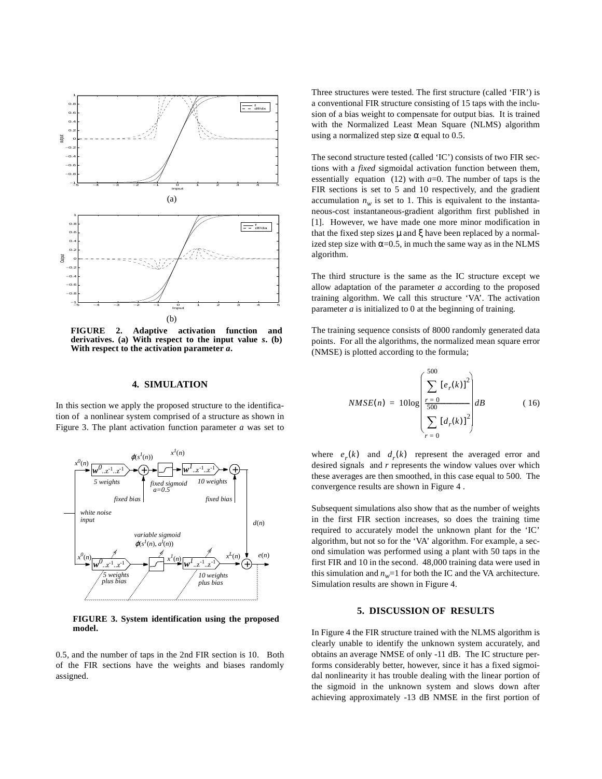

**FIGURE 2. Adaptive activation function and derivatives. (a) With respect to the input value** *s***. (b) With respect to the activation parameter** *a***.**

### **4. SIMULATION**

In this section we apply the proposed structure to the identification of a nonlinear system comprised of a structure as shown in Figure 3. The plant activation function parameter *a* was set to



**FIGURE 3. System identification using the proposed model.**

0.5, and the number of taps in the 2nd FIR section is 10. Both of the FIR sections have the weights and biases randomly assigned.

Three structures were tested. The first structure (called 'FIR') is a conventional FIR structure consisting of 15 taps with the inclusion of a bias weight to compensate for output bias. It is trained with the Normalized Least Mean Square (NLMS) algorithm using a normalized step size  $\alpha$  equal to 0.5.

The second structure tested (called 'IC') consists of two FIR sections with a *fixed* sigmoidal activation function between them, essentially equation (12) with  $a=0$ . The number of taps is the FIR sections is set to 5 and 10 respectively, and the gradient accumulation  $n_w$  is set to 1. This is equivalent to the instantaneous-cost instantaneous-gradient algorithm first published in [1]. However, we have made one more minor modification in that the fixed step sizes  $\mu$  and  $\xi$  have been replaced by a normalized step size with  $\alpha$ =0.5, in much the same way as in the NLMS algorithm.

The third structure is the same as the IC structure except we allow adaptation of the parameter *a* according to the proposed training algorithm. We call this structure 'VA'. The activation parameter *a* is initialized to 0 at the beginning of training.

The training sequence consists of 8000 randomly generated data points. For all the algorithms, the normalized mean square error (NMSE) is plotted according to the formula;

$$
NMSE(n) = 10\log \left(\frac{\sum_{r=0}^{500} [e_r(k)]^2}{\sum_{r=0}^{500} [d_r(k)]^2}\right)dB
$$
 (16)

where  $e_r(k)$  and  $d_r(k)$  represent the averaged error and desired signals and *r* represents the window values over which these averages are then smoothed, in this case equal to 500. The convergence results are shown in Figure 4 .

Subsequent simulations also show that as the number of weights in the first FIR section increases, so does the training time required to accurately model the unknown plant for the 'IC' algorithm, but not so for the 'VA' algorithm. For example, a second simulation was performed using a plant with 50 taps in the first FIR and 10 in the second. 48,000 training data were used in this simulation and  $n_w$ =1 for both the IC and the VA architecture. Simulation results are shown in Figure 4.

# **5. DISCUSSION OF RESULTS**

In Figure 4 the FIR structure trained with the NLMS algorithm is clearly unable to identify the unknown system accurately, and obtains an average NMSE of only -11 dB. The IC structure performs considerably better, however, since it has a fixed sigmoidal nonlinearity it has trouble dealing with the linear portion of the sigmoid in the unknown system and slows down after achieving approximately -13 dB NMSE in the first portion of